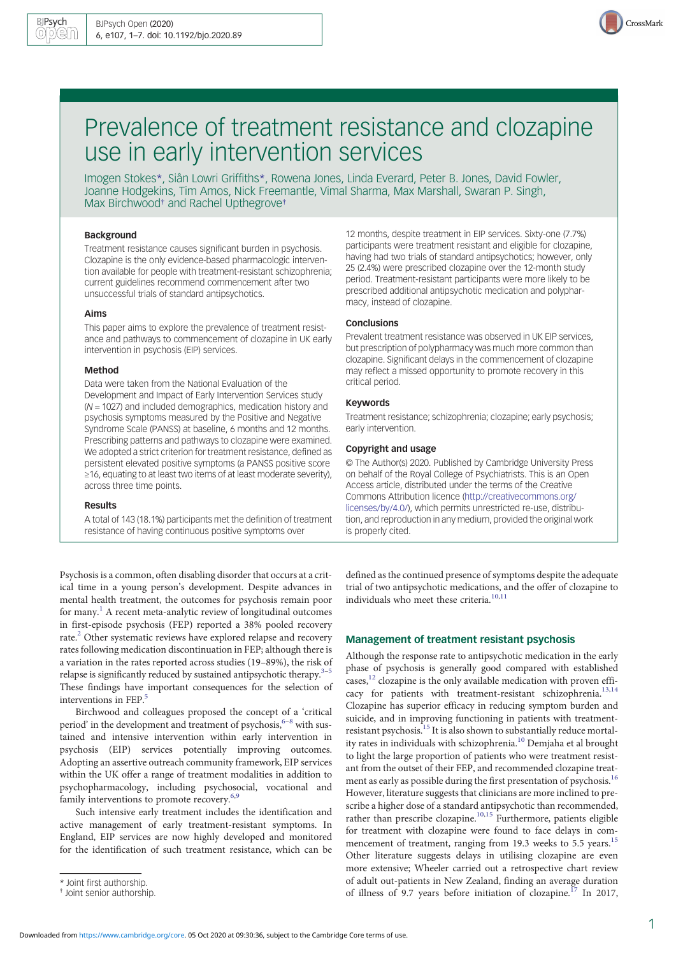

# Prevalence of treatment resistance and clozapine use in early intervention services

Imogen Stokes\*, Siân Lowri Griffiths\*, Rowena Jones, Linda Everard, Peter B. Jones, David Fowler, Joanne Hodgekins, Tim Amos, Nick Freemantle, Vimal Sharma, Max Marshall, Swaran P. Singh, Max Birchwood<sup>†</sup> and Rachel Upthegrove<sup>†</sup>

## Background

Treatment resistance causes significant burden in psychosis. Clozapine is the only evidence-based pharmacologic intervention available for people with treatment-resistant schizophrenia; current guidelines recommend commencement after two unsuccessful trials of standard antipsychotics.

## Aims

This paper aims to explore the prevalence of treatment resistance and pathways to commencement of clozapine in UK early intervention in psychosis (EIP) services.

#### Method

Data were taken from the National Evaluation of the Development and Impact of Early Intervention Services study (N = 1027) and included demographics, medication history and psychosis symptoms measured by the Positive and Negative Syndrome Scale (PANSS) at baseline, 6 months and 12 months. Prescribing patterns and pathways to clozapine were examined. We adopted a strict criterion for treatment resistance, defined as persistent elevated positive symptoms (a PANSS positive score ≥16, equating to at least two items of at least moderate severity), across three time points.

## Results

A total of 143 (18.1%) participants met the definition of treatment resistance of having continuous positive symptoms over

Psychosis is a common, often disabling disorder that occurs at a critical time in a young person's development. Despite advances in mental health treatment, the outcomes for psychosis remain poor for many.<sup>[1](#page-5-0)</sup> A recent meta-analytic review of longitudinal outcomes in first-episode psychosis (FEP) reported a 38% pooled recovery rate.<sup>[2](#page-5-0)</sup> Other systematic reviews have explored relapse and recovery rates following medication discontinuation in FEP; although there is a variation in the rates reported across studies (19–89%), the risk of relapse is significantly reduced by sustained antipsychotic therapy.<sup>[3](#page-5-0)</sup> These findings have important consequences for the selection of interventions in FEP.<sup>5</sup>

Birchwood and colleagues proposed the concept of a 'critical period' in the development and treatment of psychosis,  $\rm ^{6-8}$  $\rm ^{6-8}$  $\rm ^{6-8}$  $\rm ^{6-8}$  $\rm ^{6-8}$  with sustained and intensive intervention within early intervention in psychosis (EIP) services potentially improving outcomes. Adopting an assertive outreach community framework, EIP services within the UK offer a range of treatment modalities in addition to psychopharmacology, including psychosocial, vocational and family interventions to promote recovery.<sup>[6](#page-5-0),[9](#page-5-0)</sup>

Such intensive early treatment includes the identification and active management of early treatment-resistant symptoms. In England, EIP services are now highly developed and monitored for the identification of such treatment resistance, which can be 12 months, despite treatment in EIP services. Sixty-one (7.7%) participants were treatment resistant and eligible for clozapine, having had two trials of standard antipsychotics; however, only 25 (2.4%) were prescribed clozapine over the 12-month study period. Treatment-resistant participants were more likely to be prescribed additional antipsychotic medication and polypharmacy, instead of clozapine.

# Conclusions

Prevalent treatment resistance was observed in UK EIP services, but prescription of polypharmacy was much more common than clozapine. Significant delays in the commencement of clozapine may reflect a missed opportunity to promote recovery in this critical period.

# Keywords

Treatment resistance; schizophrenia; clozapine; early psychosis; early intervention.

### Copyright and usage

© The Author(s) 2020. Published by Cambridge University Press on behalf of the Royal College of Psychiatrists. This is an Open Access article, distributed under the terms of the Creative Commons Attribution licence [\(http://creativecommons.org/](http://creativecommons.org/licenses/by/4.0/) [licenses/by/4.0/](http://creativecommons.org/licenses/by/4.0/)), which permits unrestricted re-use, distribution, and reproduction in any medium, provided the original work is properly cited.

defined as the continued presence of symptoms despite the adequate trial of two antipsychotic medications, and the offer of clozapine to individuals who meet these criteria.<sup>[10](#page-6-0),[11](#page-6-0)</sup>

# Management of treatment resistant psychosis

Although the response rate to antipsychotic medication in the early phase of psychosis is generally good compared with established  $\frac{1}{2}$  clozapine is the only available medication with proven efficacy for patients with treatment-resistant schizophrenia.[13,14](#page-6-0) Clozapine has superior efficacy in reducing symptom burden and suicide, and in improving functioning in patients with treatmentresistant psychosis.[15](#page-6-0) It is also shown to substantially reduce mortality rates in individuals with schizophrenia.[10](#page-6-0) Demjaha et al brought to light the large proportion of patients who were treatment resistant from the outset of their FEP, and recommended clozapine treatment as early as possible during the first presentation of psychosis.<sup>16</sup> However, literature suggests that clinicians are more inclined to prescribe a higher dose of a standard antipsychotic than recommended, rather than prescribe clozapine.<sup>[10](#page-6-0),[15](#page-6-0)</sup> Furthermore, patients eligible for treatment with clozapine were found to face delays in com-mencement of treatment, ranging from 19.3 weeks to 5.5 years.<sup>[15](#page-6-0)</sup> Other literature suggests delays in utilising clozapine are even more extensive; Wheeler carried out a retrospective chart review of adult out-patients in New Zealand, finding an average duration of illness of 9.7 years before initiation of clozapine.<sup>[17](#page-6-0)</sup> In 2017,

<sup>\*</sup> Joint first authorship.

<sup>†</sup> Joint senior authorship.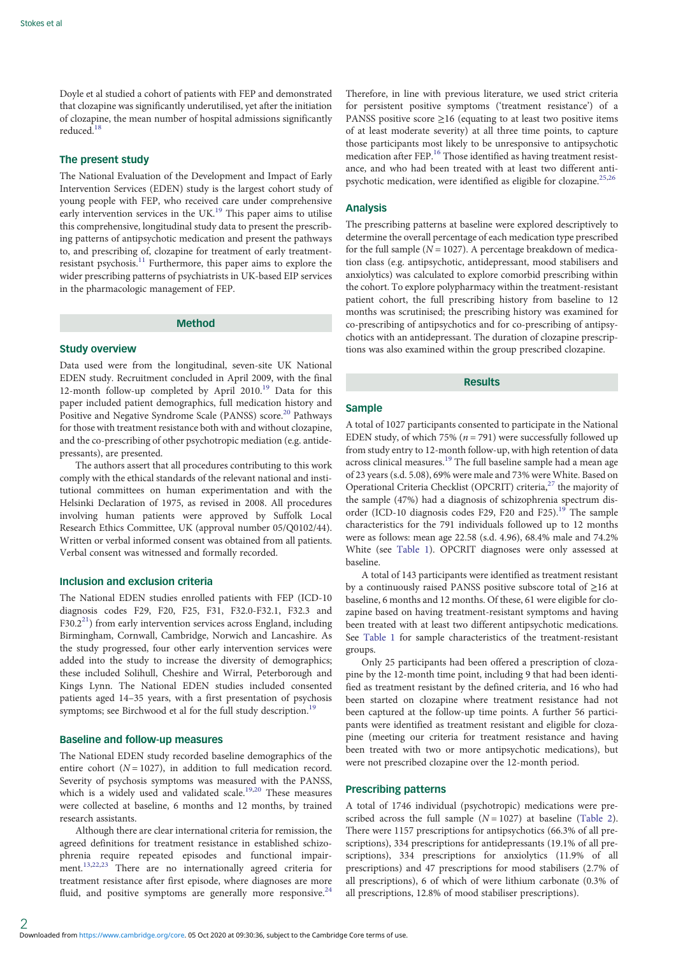Doyle et al studied a cohort of patients with FEP and demonstrated that clozapine was significantly underutilised, yet after the initiation of clozapine, the mean number of hospital admissions significantly reduced.<sup>[18](#page-6-0)</sup>

# The present study

The National Evaluation of the Development and Impact of Early Intervention Services (EDEN) study is the largest cohort study of young people with FEP, who received care under comprehensive early intervention services in the UK.<sup>19</sup> This paper aims to utilise this comprehensive, longitudinal study data to present the prescribing patterns of antipsychotic medication and present the pathways to, and prescribing of, clozapine for treatment of early treatmentresistant psychosis.[11](#page-6-0) Furthermore, this paper aims to explore the wider prescribing patterns of psychiatrists in UK-based EIP services in the pharmacologic management of FEP.

# Method

#### Study overview

Data used were from the longitudinal, seven-site UK National EDEN study. Recruitment concluded in April 2009, with the final 12-month follow-up completed by April 2010.<sup>[19](#page-6-0)</sup> Data for this paper included patient demographics, full medication history and Positive and Negative Syndrome Scale (PANSS) score.<sup>[20](#page-6-0)</sup> Pathways for those with treatment resistance both with and without clozapine, and the co-prescribing of other psychotropic mediation (e.g. antidepressants), are presented.

The authors assert that all procedures contributing to this work comply with the ethical standards of the relevant national and institutional committees on human experimentation and with the Helsinki Declaration of 1975, as revised in 2008. All procedures involving human patients were approved by Suffolk Local Research Ethics Committee, UK (approval number 05/Q0102/44). Written or verbal informed consent was obtained from all patients. Verbal consent was witnessed and formally recorded.

# Inclusion and exclusion criteria

The National EDEN studies enrolled patients with FEP (ICD-10 diagnosis codes F29, F20, F25, F31, F32.0-F32.1, F32.3 and  $F30.2<sup>21</sup>$ ) from early intervention services across England, including Birmingham, Cornwall, Cambridge, Norwich and Lancashire. As the study progressed, four other early intervention services were added into the study to increase the diversity of demographics; these included Solihull, Cheshire and Wirral, Peterborough and Kings Lynn. The National EDEN studies included consented patients aged 14–35 years, with a first presentation of psychosis symptoms; see Birchwood et al for the full study description.<sup>[19](#page-6-0)</sup>

## Baseline and follow-up measures

The National EDEN study recorded baseline demographics of the entire cohort  $(N = 1027)$ , in addition to full medication record. Severity of psychosis symptoms was measured with the PANSS, which is a widely used and validated scale.<sup>[19](#page-6-0),[20](#page-6-0)</sup> These measures were collected at baseline, 6 months and 12 months, by trained research assistants.

Although there are clear international criteria for remission, the agreed definitions for treatment resistance in established schizophrenia require repeated episodes and functional impair-ment.<sup>[13,22,23](#page-6-0)</sup> There are no internationally agreed criteria for treatment resistance after first episode, where diagnoses are more fluid, and positive symptoms are generally more responsive.<sup>[24](#page-6-0)</sup>

Therefore, in line with previous literature, we used strict criteria for persistent positive symptoms ('treatment resistance') of a PANSS positive score  $\geq$ 16 (equating to at least two positive items of at least moderate severity) at all three time points, to capture those participants most likely to be unresponsive to antipsychotic medication after FEP.<sup>[16](#page-6-0)</sup> Those identified as having treatment resistance, and who had been treated with at least two different antipsychotic medication, were identified as eligible for clozapine. $^{25,26}$  $^{25,26}$  $^{25,26}$  $^{25,26}$  $^{25,26}$ 

#### Analysis

The prescribing patterns at baseline were explored descriptively to determine the overall percentage of each medication type prescribed for the full sample ( $N = 1027$ ). A percentage breakdown of medication class (e.g. antipsychotic, antidepressant, mood stabilisers and anxiolytics) was calculated to explore comorbid prescribing within the cohort. To explore polypharmacy within the treatment-resistant patient cohort, the full prescribing history from baseline to 12 months was scrutinised; the prescribing history was examined for co-prescribing of antipsychotics and for co-prescribing of antipsychotics with an antidepressant. The duration of clozapine prescriptions was also examined within the group prescribed clozapine.

#### Results

## **Sample**

A total of 1027 participants consented to participate in the National EDEN study, of which 75% ( $n = 791$ ) were successfully followed up from study entry to 12-month follow-up, with high retention of data across clinical measures.<sup>[19](#page-6-0)</sup> The full baseline sample had a mean age of 23 years (s.d. 5.08), 69% were male and 73% were White. Based on Operational Criteria Checklist (OPCRIT) criteria,<sup>[27](#page-6-0)</sup> the majority of the sample (47%) had a diagnosis of schizophrenia spectrum dis-order (ICD-10 diagnosis codes F29, F20 and F25).<sup>[19](#page-6-0)</sup> The sample characteristics for the 791 individuals followed up to 12 months were as follows: mean age 22.58 (s.d. 4.96), 68.4% male and 74.2% White (see [Table 1](#page-2-0)). OPCRIT diagnoses were only assessed at baseline.

A total of 143 participants were identified as treatment resistant by a continuously raised PANSS positive subscore total of ≥16 at baseline, 6 months and 12 months. Of these, 61 were eligible for clozapine based on having treatment-resistant symptoms and having been treated with at least two different antipsychotic medications. See [Table 1](#page-2-0) for sample characteristics of the treatment-resistant groups.

Only 25 participants had been offered a prescription of clozapine by the 12-month time point, including 9 that had been identified as treatment resistant by the defined criteria, and 16 who had been started on clozapine where treatment resistance had not been captured at the follow-up time points. A further 56 participants were identified as treatment resistant and eligible for clozapine (meeting our criteria for treatment resistance and having been treated with two or more antipsychotic medications), but were not prescribed clozapine over the 12-month period.

# Prescribing patterns

A total of 1746 individual (psychotropic) medications were prescribed across the full sample  $(N = 1027)$  at baseline ([Table 2](#page-2-0)). There were 1157 prescriptions for antipsychotics (66.3% of all prescriptions), 334 prescriptions for antidepressants (19.1% of all prescriptions), 334 prescriptions for anxiolytics (11.9% of all prescriptions) and 47 prescriptions for mood stabilisers (2.7% of all prescriptions), 6 of which of were lithium carbonate (0.3% of all prescriptions, 12.8% of mood stabiliser prescriptions).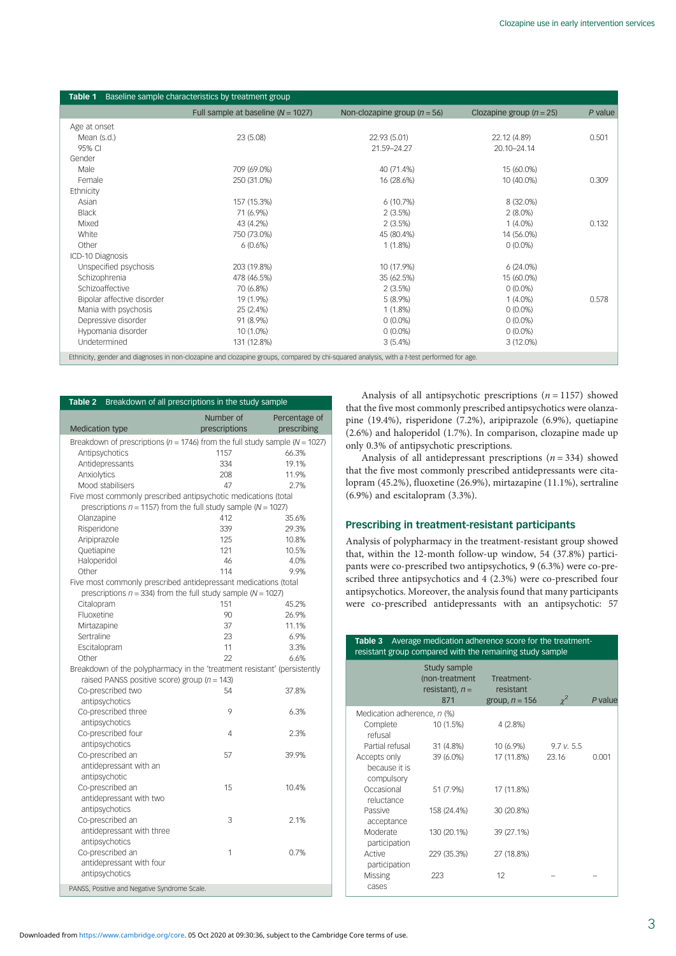<span id="page-2-0"></span>

| Table 1<br>Baseline sample characteristics by treatment group                                                                             |                                        |                                  |                              |         |  |  |
|-------------------------------------------------------------------------------------------------------------------------------------------|----------------------------------------|----------------------------------|------------------------------|---------|--|--|
|                                                                                                                                           | Full sample at baseline ( $N = 1027$ ) | Non-clozapine group ( $n = 56$ ) | Clozapine group ( $n = 25$ ) | P value |  |  |
| Age at onset                                                                                                                              |                                        |                                  |                              |         |  |  |
| Mean (s.d.)                                                                                                                               | 23 (5.08)                              | 22.93 (5.01)                     | 22.12 (4.89)                 | 0.501   |  |  |
| 95% CI                                                                                                                                    |                                        | 21.59-24.27                      | 20.10-24.14                  |         |  |  |
| Gender                                                                                                                                    |                                        |                                  |                              |         |  |  |
| Male                                                                                                                                      | 709 (69.0%)                            | 40 (71.4%)                       | 15 (60.0%)                   |         |  |  |
| Female                                                                                                                                    | 250 (31.0%)                            | 16 (28.6%)                       | 10 (40.0%)                   | 0.309   |  |  |
| Ethnicity                                                                                                                                 |                                        |                                  |                              |         |  |  |
| Asian                                                                                                                                     | 157 (15.3%)                            | 6(10.7%)                         | 8 (32.0%)                    |         |  |  |
| <b>Black</b>                                                                                                                              | 71 (6.9%)                              | 2(3.5%)                          | $2(8.0\%)$                   |         |  |  |
| Mixed                                                                                                                                     | 43 (4.2%)                              | 2(3.5%)                          | $1(4.0\%)$                   | 0.132   |  |  |
| White                                                                                                                                     | 750 (73.0%)                            | 45 (80.4%)                       | 14 (56.0%)                   |         |  |  |
| Other                                                                                                                                     | 6(0.6%)                                | $1(1.8\%)$                       | $0(0.0\%)$                   |         |  |  |
| ICD-10 Diagnosis                                                                                                                          |                                        |                                  |                              |         |  |  |
| Unspecified psychosis                                                                                                                     | 203 (19.8%)                            | 10 (17.9%)                       | 6(24.0%)                     |         |  |  |
| Schizophrenia                                                                                                                             | 478 (46.5%)                            | 35 (62.5%)                       | 15 (60.0%)                   |         |  |  |
| Schizoaffective                                                                                                                           | 70 (6.8%)                              | 2(3.5%)                          | $0(0.0\%)$                   |         |  |  |
| Bipolar affective disorder                                                                                                                | 19 (1.9%)                              | $5(8.9\%)$                       | $1(4.0\%)$                   | 0.578   |  |  |
| Mania with psychosis                                                                                                                      | 25 (2.4%)                              | $1(1.8\%)$                       | $0(0.0\%)$                   |         |  |  |
| Depressive disorder                                                                                                                       | 91 (8.9%)                              | $0(0.0\%)$                       | $0(0.0\%)$                   |         |  |  |
| Hypomania disorder                                                                                                                        | 10 (1.0%)                              | $0(0.0\%)$                       | $0(0.0\%)$                   |         |  |  |
| Undetermined                                                                                                                              | 131 (12.8%)                            | 3(5.4%)                          | $3(12.0\%)$                  |         |  |  |
| Ethnicity, gender and diagnoses in non-clozapine and clozapine groups, compared by chi-squared analysis, with a t-test performed for age. |                                        |                                  |                              |         |  |  |

| Breakdown of all prescriptions in the study sample<br>Table 2                       |                            |                              |  |  |  |
|-------------------------------------------------------------------------------------|----------------------------|------------------------------|--|--|--|
|                                                                                     |                            |                              |  |  |  |
| <b>Medication type</b>                                                              | Number of<br>prescriptions | Percentage of<br>prescribing |  |  |  |
| Breakdown of prescriptions ( $n = 1746$ ) from the full study sample ( $N = 1027$ ) |                            |                              |  |  |  |
| Antipsychotics                                                                      | 1157                       | 66.3%                        |  |  |  |
| Antidepressants                                                                     | 334                        | 19.1%                        |  |  |  |
| Anxiolytics                                                                         | 208                        | 11.9%                        |  |  |  |
| Mood stabilisers                                                                    | 47                         | 2.7%                         |  |  |  |
| Five most commonly prescribed antipsychotic medications (total                      |                            |                              |  |  |  |
| prescriptions $n = 1157$ ) from the full study sample ( $N = 1027$ )                |                            |                              |  |  |  |
| Olanzapine                                                                          | 412                        | 35.6%                        |  |  |  |
| Risperidone                                                                         | 339                        | 29.3%                        |  |  |  |
| Aripiprazole                                                                        | 125                        | 10.8%                        |  |  |  |
| Quetiapine                                                                          | 121                        | 10.5%                        |  |  |  |
| Haloperidol                                                                         | 46                         | 4.0%                         |  |  |  |
| Other                                                                               | 114                        | 9.9%                         |  |  |  |
| Five most commonly prescribed antidepressant medications (total                     |                            |                              |  |  |  |
| prescriptions $n = 334$ ) from the full study sample ( $N = 1027$ )                 |                            |                              |  |  |  |
| Citalopram                                                                          | 151                        | 45.2%                        |  |  |  |
| Fluoxetine                                                                          | 90                         | 26.9%                        |  |  |  |
| Mirtazapine                                                                         | 37                         | 11.1%                        |  |  |  |
| Sertraline                                                                          | 23                         | 6.9%                         |  |  |  |
| Escitalopram                                                                        | 11                         | 3.3%                         |  |  |  |
| Other                                                                               | 22                         | 6.6%                         |  |  |  |
| Breakdown of the polypharmacy in the 'treatment resistant' (persistently            |                            |                              |  |  |  |
| raised PANSS positive score) group ( $n = 143$ )                                    |                            |                              |  |  |  |
| Co-prescribed two                                                                   | 54                         | 37.8%                        |  |  |  |
| antipsychotics                                                                      |                            |                              |  |  |  |
| Co-prescribed three                                                                 | 9                          | 6.3%                         |  |  |  |
| antipsychotics                                                                      |                            |                              |  |  |  |
| Co-prescribed four                                                                  | 4                          | 2.3%                         |  |  |  |
| antipsychotics                                                                      |                            |                              |  |  |  |
| Co-prescribed an                                                                    | 57                         | 39.9%                        |  |  |  |
| antidepressant with an                                                              |                            |                              |  |  |  |
| antipsychotic                                                                       |                            |                              |  |  |  |
| Co-prescribed an                                                                    | 15                         | 10.4%                        |  |  |  |
| antidepressant with two                                                             |                            |                              |  |  |  |
| antipsychotics                                                                      |                            |                              |  |  |  |
| Co-prescribed an                                                                    | 3                          | 2.1%                         |  |  |  |
| antidepressant with three                                                           |                            |                              |  |  |  |
| antipsychotics                                                                      |                            |                              |  |  |  |
| Co-prescribed an                                                                    | 1                          | 0.7%                         |  |  |  |
| antidepressant with four                                                            |                            |                              |  |  |  |
| antipsychotics                                                                      |                            |                              |  |  |  |
|                                                                                     |                            |                              |  |  |  |
| PANSS, Positive and Negative Syndrome Scale.                                        |                            |                              |  |  |  |

Analysis of all antipsychotic prescriptions ( $n = 1157$ ) showed that the five most commonly prescribed antipsychotics were olanzapine (19.4%), risperidone (7.2%), aripiprazole (6.9%), quetiapine (2.6%) and haloperidol (1.7%). In comparison, clozapine made up only 0.3% of antipsychotic prescriptions.

Analysis of all antidepressant prescriptions  $(n = 334)$  showed that the five most commonly prescribed antidepressants were citalopram (45.2%), fluoxetine (26.9%), mirtazapine (11.1%), sertraline (6.9%) and escitalopram (3.3%).

# Prescribing in treatment-resistant participants

Analysis of polypharmacy in the treatment-resistant group showed that, within the 12-month follow-up window, 54 (37.8%) participants were co-prescribed two antipsychotics, 9 (6.3%) were co-prescribed three antipsychotics and 4 (2.3%) were co-prescribed four antipsychotics. Moreover, the analysis found that many participants were co-prescribed antidepressants with an antipsychotic: 57

| Average medication adherence score for the treatment-<br>Table 3<br>resistant group compared with the remaining study sample |                                                            |                                             |                     |         |  |  |  |  |
|------------------------------------------------------------------------------------------------------------------------------|------------------------------------------------------------|---------------------------------------------|---------------------|---------|--|--|--|--|
|                                                                                                                              | Study sample<br>(non-treatment<br>resistant), $n =$<br>871 | Treatment-<br>resistant<br>group, $n = 156$ | $\chi^2$            | P value |  |  |  |  |
| Medication adherence, n (%)<br>Complete<br>refusal                                                                           | 10 (1.5%)                                                  | 4(2.8%)                                     |                     |         |  |  |  |  |
| Partial refusal<br>Accepts only                                                                                              | 31 (4.8%)<br>39 (6.0%)                                     | 10 (6.9%)<br>17 (11.8%)                     | 9.7 v. 5.5<br>23.16 | 0.001   |  |  |  |  |
| because it is<br>compulsory                                                                                                  |                                                            |                                             |                     |         |  |  |  |  |
| Occasional<br>reluctance                                                                                                     | 51 (7.9%)                                                  | 17 (11.8%)                                  |                     |         |  |  |  |  |
| Passive<br>acceptance                                                                                                        | 158 (24.4%)                                                | 30 (20.8%)                                  |                     |         |  |  |  |  |
| Moderate<br>participation                                                                                                    | 130 (20.1%)                                                | 39 (27.1%)                                  |                     |         |  |  |  |  |
| Active<br>participation                                                                                                      | 229 (35.3%)                                                | 27 (18.8%)                                  |                     |         |  |  |  |  |
| Missing<br>cases                                                                                                             | 223                                                        | 12                                          |                     |         |  |  |  |  |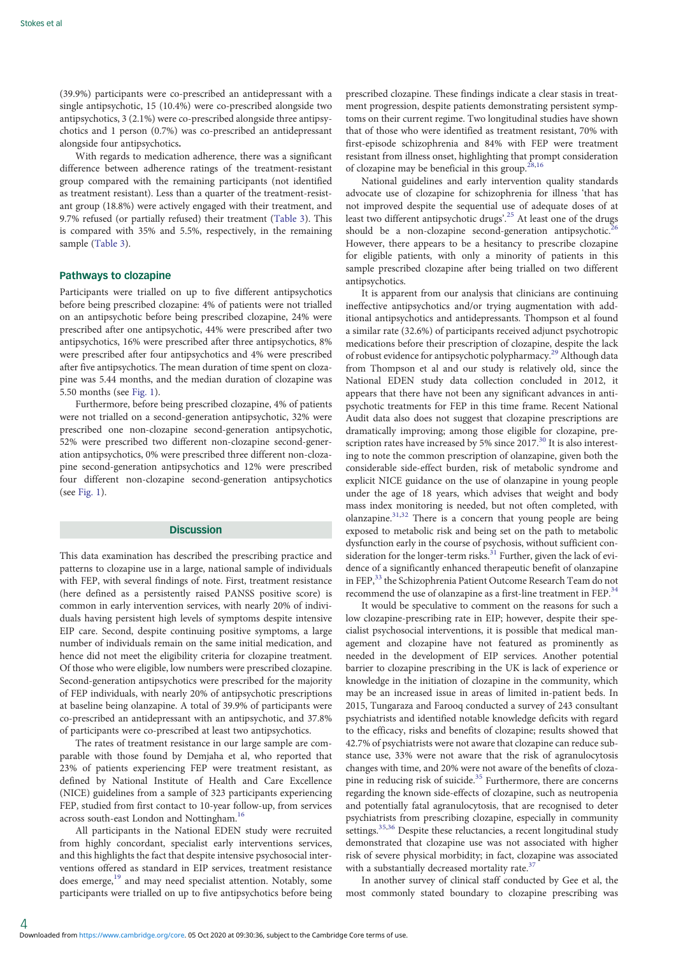(39.9%) participants were co-prescribed an antidepressant with a single antipsychotic, 15 (10.4%) were co-prescribed alongside two antipsychotics, 3 (2.1%) were co-prescribed alongside three antipsychotics and 1 person (0.7%) was co-prescribed an antidepressant alongside four antipsychotics.

With regards to medication adherence, there was a significant difference between adherence ratings of the treatment-resistant group compared with the remaining participants (not identified as treatment resistant). Less than a quarter of the treatment-resistant group (18.8%) were actively engaged with their treatment, and 9.7% refused (or partially refused) their treatment [\(Table 3](#page-2-0)). This is compared with 35% and 5.5%, respectively, in the remaining sample [\(Table 3](#page-2-0)).

# Pathways to clozapine

Participants were trialled on up to five different antipsychotics before being prescribed clozapine: 4% of patients were not trialled on an antipsychotic before being prescribed clozapine, 24% were prescribed after one antipsychotic, 44% were prescribed after two antipsychotics, 16% were prescribed after three antipsychotics, 8% were prescribed after four antipsychotics and 4% were prescribed after five antipsychotics. The mean duration of time spent on clozapine was 5.44 months, and the median duration of clozapine was 5.50 months (see [Fig. 1](#page-4-0)).

Furthermore, before being prescribed clozapine, 4% of patients were not trialled on a second-generation antipsychotic, 32% were prescribed one non-clozapine second-generation antipsychotic, 52% were prescribed two different non-clozapine second-generation antipsychotics, 0% were prescribed three different non-clozapine second-generation antipsychotics and 12% were prescribed four different non-clozapine second-generation antipsychotics (see [Fig. 1\)](#page-4-0).

# **Discussion**

This data examination has described the prescribing practice and patterns to clozapine use in a large, national sample of individuals with FEP, with several findings of note. First, treatment resistance (here defined as a persistently raised PANSS positive score) is common in early intervention services, with nearly 20% of individuals having persistent high levels of symptoms despite intensive EIP care. Second, despite continuing positive symptoms, a large number of individuals remain on the same initial medication, and hence did not meet the eligibility criteria for clozapine treatment. Of those who were eligible, low numbers were prescribed clozapine. Second-generation antipsychotics were prescribed for the majority of FEP individuals, with nearly 20% of antipsychotic prescriptions at baseline being olanzapine. A total of 39.9% of participants were co-prescribed an antidepressant with an antipsychotic, and 37.8% of participants were co-prescribed at least two antipsychotics.

The rates of treatment resistance in our large sample are comparable with those found by Demjaha et al, who reported that 23% of patients experiencing FEP were treatment resistant, as defined by National Institute of Health and Care Excellence (NICE) guidelines from a sample of 323 participants experiencing FEP, studied from first contact to 10-year follow-up, from services across south-east London and Nottingham.<sup>16</sup>

All participants in the National EDEN study were recruited from highly concordant, specialist early interventions services, and this highlights the fact that despite intensive psychosocial interventions offered as standard in EIP services, treatment resistance does emerge,<sup>[19](#page-6-0)</sup> and may need specialist attention. Notably, some participants were trialled on up to five antipsychotics before being prescribed clozapine. These findings indicate a clear stasis in treatment progression, despite patients demonstrating persistent symptoms on their current regime. Two longitudinal studies have shown that of those who were identified as treatment resistant, 70% with first-episode schizophrenia and 84% with FEP were treatment resistant from illness onset, highlighting that prompt consideration of clozapine may be beneficial in this group. $28,16$ 

National guidelines and early intervention quality standards advocate use of clozapine for schizophrenia for illness 'that has not improved despite the sequential use of adequate doses of at least two different antipsychotic drugs'.<sup>[25](#page-6-0)</sup> At least one of the drugs should be a non-clozapine second-generation antipsychotic.<sup>2</sup> However, there appears to be a hesitancy to prescribe clozapine for eligible patients, with only a minority of patients in this sample prescribed clozapine after being trialled on two different antipsychotics.

It is apparent from our analysis that clinicians are continuing ineffective antipsychotics and/or trying augmentation with additional antipsychotics and antidepressants. Thompson et al found a similar rate (32.6%) of participants received adjunct psychotropic medications before their prescription of clozapine, despite the lack of robust evidence for antipsychotic polypharmacy[.29](#page-6-0) Although data from Thompson et al and our study is relatively old, since the National EDEN study data collection concluded in 2012, it appears that there have not been any significant advances in antipsychotic treatments for FEP in this time frame. Recent National Audit data also does not suggest that clozapine prescriptions are dramatically improving; among those eligible for clozapine, pre-scription rates have increased by 5% since 2017.<sup>[30](#page-6-0)</sup> It is also interesting to note the common prescription of olanzapine, given both the considerable side-effect burden, risk of metabolic syndrome and explicit NICE guidance on the use of olanzapine in young people under the age of 18 years, which advises that weight and body mass index monitoring is needed, but not often completed, with olanzapine[.31,32](#page-6-0) There is a concern that young people are being exposed to metabolic risk and being set on the path to metabolic dysfunction early in the course of psychosis, without sufficient consideration for the longer-term risks. $31$  Further, given the lack of evidence of a significantly enhanced therapeutic benefit of olanzapine in FEP,<sup>[33](#page-6-0)</sup> the Schizophrenia Patient Outcome Research Team do not recommend the use of olanzapine as a first-line treatment in FEP.<sup>[34](#page-6-0)</sup>

It would be speculative to comment on the reasons for such a low clozapine-prescribing rate in EIP; however, despite their specialist psychosocial interventions, it is possible that medical management and clozapine have not featured as prominently as needed in the development of EIP services. Another potential barrier to clozapine prescribing in the UK is lack of experience or knowledge in the initiation of clozapine in the community, which may be an increased issue in areas of limited in-patient beds. In 2015, Tungaraza and Farooq conducted a survey of 243 consultant psychiatrists and identified notable knowledge deficits with regard to the efficacy, risks and benefits of clozapine; results showed that 42.7% of psychiatrists were not aware that clozapine can reduce substance use, 33% were not aware that the risk of agranulocytosis changes with time, and 20% were not aware of the benefits of clozapine in reducing risk of suicide. $35$  Furthermore, there are concerns regarding the known side-effects of clozapine, such as neutropenia and potentially fatal agranulocytosis, that are recognised to deter psychiatrists from prescribing clozapine, especially in community settings.<sup>[35](#page-6-0),[36](#page-6-0)</sup> Despite these reluctancies, a recent longitudinal study demonstrated that clozapine use was not associated with higher risk of severe physical morbidity; in fact, clozapine was associated with a substantially decreased mortality rate.<sup>[37](#page-6-0)</sup>

In another survey of clinical staff conducted by Gee et al, the most commonly stated boundary to clozapine prescribing was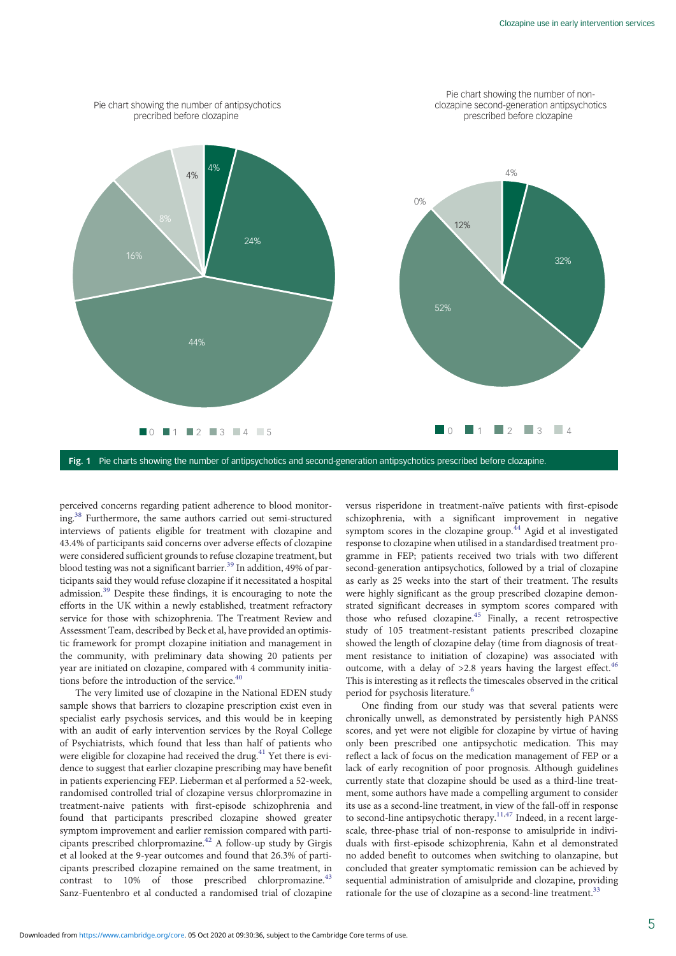<span id="page-4-0"></span>

Fig. 1 Pie charts showing the number of antipsychotics and second-generation antipsychotics prescribed before clozapine.

perceived concerns regarding patient adherence to blood monitoring.[38](#page-6-0) Furthermore, the same authors carried out semi-structured interviews of patients eligible for treatment with clozapine and 43.4% of participants said concerns over adverse effects of clozapine were considered sufficient grounds to refuse clozapine treatment, but blood testing was not a significant barrier.<sup>[39](#page-6-0)</sup> In addition, 49% of participants said they would refuse clozapine if it necessitated a hospital admission.[39](#page-6-0) Despite these findings, it is encouraging to note the efforts in the UK within a newly established, treatment refractory service for those with schizophrenia. The Treatment Review and Assessment Team, described by Beck et al, have provided an optimistic framework for prompt clozapine initiation and management in the community, with preliminary data showing 20 patients per year are initiated on clozapine, compared with 4 community initiations before the introduction of the service.  $^{\rm 40}$ 

The very limited use of clozapine in the National EDEN study sample shows that barriers to clozapine prescription exist even in specialist early psychosis services, and this would be in keeping with an audit of early intervention services by the Royal College of Psychiatrists, which found that less than half of patients who were eligible for clozapine had received the drug.<sup>[41](#page-6-0)</sup> Yet there is evidence to suggest that earlier clozapine prescribing may have benefit in patients experiencing FEP. Lieberman et al performed a 52-week, randomised controlled trial of clozapine versus chlorpromazine in treatment-naive patients with first-episode schizophrenia and found that participants prescribed clozapine showed greater symptom improvement and earlier remission compared with parti-cipants prescribed chlorpromazine.<sup>[42](#page-6-0)</sup> A follow-up study by Girgis et al looked at the 9-year outcomes and found that 26.3% of participants prescribed clozapine remained on the same treatment, in contrast to  $10\%$  of those prescribed chlorpromazine.<sup>4</sup> Sanz-Fuentenbro et al conducted a randomised trial of clozapine

versus risperidone in treatment-naïve patients with first-episode schizophrenia, with a significant improvement in negative symptom scores in the clozapine group. $44$  Agid et al investigated response to clozapine when utilised in a standardised treatment programme in FEP; patients received two trials with two different second-generation antipsychotics, followed by a trial of clozapine as early as 25 weeks into the start of their treatment. The results were highly significant as the group prescribed clozapine demonstrated significant decreases in symptom scores compared with those who refused clozapine.<sup>[45](#page-6-0)</sup> Finally, a recent retrospective study of 105 treatment-resistant patients prescribed clozapine showed the length of clozapine delay (time from diagnosis of treatment resistance to initiation of clozapine) was associated with outcome, with a delay of  $>2.8$  years having the largest effect.<sup>46</sup> This is interesting as it reflects the timescales observed in the critical period for psychosis literature.<sup>[6](#page-5-0)</sup>

One finding from our study was that several patients were chronically unwell, as demonstrated by persistently high PANSS scores, and yet were not eligible for clozapine by virtue of having only been prescribed one antipsychotic medication. This may reflect a lack of focus on the medication management of FEP or a lack of early recognition of poor prognosis. Although guidelines currently state that clozapine should be used as a third-line treatment, some authors have made a compelling argument to consider its use as a second-line treatment, in view of the fall-off in response to second-line antipsychotic therapy.<sup>11,47</sup> Indeed, in a recent largescale, three-phase trial of non-response to amisulpride in individuals with first-episode schizophrenia, Kahn et al demonstrated no added benefit to outcomes when switching to olanzapine, but concluded that greater symptomatic remission can be achieved by sequential administration of amisulpride and clozapine, providing rationale for the use of clozapine as a second-line treatment.<sup>33</sup>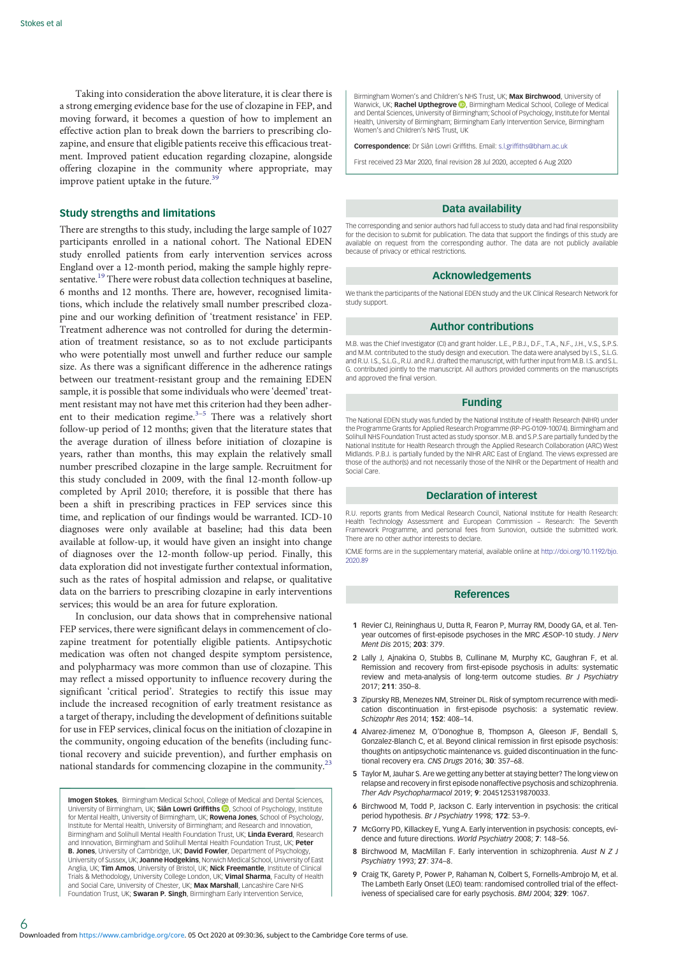<span id="page-5-0"></span>Taking into consideration the above literature, it is clear there is a strong emerging evidence base for the use of clozapine in FEP, and moving forward, it becomes a question of how to implement an effective action plan to break down the barriers to prescribing clozapine, and ensure that eligible patients receive this efficacious treatment. Improved patient education regarding clozapine, alongside offering clozapine in the community where appropriate, may improve patient uptake in the future. $39$ 

# Study strengths and limitations

There are strengths to this study, including the large sample of 1027 participants enrolled in a national cohort. The National EDEN study enrolled patients from early intervention services across England over a 12-month period, making the sample highly repre-sentative.<sup>[19](#page-6-0)</sup> There were robust data collection techniques at baseline, 6 months and 12 months. There are, however, recognised limitations, which include the relatively small number prescribed clozapine and our working definition of 'treatment resistance' in FEP. Treatment adherence was not controlled for during the determination of treatment resistance, so as to not exclude participants who were potentially most unwell and further reduce our sample size. As there was a significant difference in the adherence ratings between our treatment-resistant group and the remaining EDEN sample, it is possible that some individuals who were 'deemed' treatment resistant may not have met this criterion had they been adherent to their medication regime. $3-5$  There was a relatively short follow-up period of 12 months; given that the literature states that the average duration of illness before initiation of clozapine is years, rather than months, this may explain the relatively small number prescribed clozapine in the large sample. Recruitment for this study concluded in 2009, with the final 12-month follow-up completed by April 2010; therefore, it is possible that there has been a shift in prescribing practices in FEP services since this time, and replication of our findings would be warranted. ICD-10 diagnoses were only available at baseline; had this data been available at follow-up, it would have given an insight into change of diagnoses over the 12-month follow-up period. Finally, this data exploration did not investigate further contextual information, such as the rates of hospital admission and relapse, or qualitative data on the barriers to prescribing clozapine in early interventions services; this would be an area for future exploration.

In conclusion, our data shows that in comprehensive national FEP services, there were significant delays in commencement of clozapine treatment for potentially eligible patients. Antipsychotic medication was often not changed despite symptom persistence, and polypharmacy was more common than use of clozapine. This may reflect a missed opportunity to influence recovery during the significant 'critical period'. Strategies to rectify this issue may include the increased recognition of early treatment resistance as a target of therapy, including the development of definitions suitable for use in FEP services, clinical focus on the initiation of clozapine in the community, ongoing education of the benefits (including functional recovery and suicide prevention), and further emphasis on national standards for commencing clozapine in the community.<sup>23</sup>

**Imogen Stokes**, Birmingham Medical School, College of Medical and Dental Sciences, University of Birmingham[,](https://orcid.org/0000-0003-0031-7174) UK; Siân Lowri Griffiths (D, School of Psychology, Institute for Mental Health, University of Birmingham, UK; **Rowena Jones,** School of Psychology,<br>Institute for Mental Health, University of Birmingham; and Research and Innovation, Birmingham and Solihull Mental Health Foundation Trust, UK; Linda Everard, Research and Innovation, Birmingham and Solihull Mental Health Foundation Trust, UK; Peter B. Jones, University of Cambridge, UK; David Fowler, Department of Psychology, University of Sussex, UK; Joanne Hodgekins, Norwich Medical School, University of East Anglia, UK; Tim Amos, University of Bristol, UK; Nick Freemantle, Institute of Clinical Trials & Methodology, University College London, UK; Vimal Sharma, Faculty of Health and Social Care, University of Chester, UK; Max Marshall, Lancashire Care NHS Foundation Trust, UK; Swaran P. Singh, Birmingham Early Intervention Service,

6

Birmingham Women's and Children's NHS Trust, UK; Max Birchwood, University of Warwick, UK; Rachel Upthegrove (D), Birmingham Medical School, College of Medical and Dental Sciences, University of Birmingham; School of Psychology, Institute for Mental Health, University of Birmingham; Birmingham Early Intervention Service, Birmingham Women's and Children's NHS Trust, UK

Correspondence: Dr Siân Lowri Griffiths. Email: [s.l.griffiths@bham.ac.uk](mailto:s.l.griffiths@bham.ac.uk)

First received 23 Mar 2020, final revision 28 Jul 2020, accepted 6 Aug 2020

#### Data availability

The corresponding and senior authors had full access to study data and had final responsibility for the decision to submit for publication. The data that support the findings of this study are available on request from the corresponding author. The data are not publicly available because of privacy or ethical restrictions.

#### Acknowledgements

We thank the participants of the National EDEN study and the UK Clinical Research Network for study support.

#### Author contributions

M.B. was the Chief Investigator (CI) and grant holder. L.E., P.B.J., D.F., T.A., N.F., J.H., V.S., S.P.S. and M.M. contributed to the study design and execution. The data were analysed by I.S., S.L.G. and R.U. I.S., S.L.G., R.U. and R.J. drafted the manuscript, with further input from M.B. I.S. and S.L. G. contributed jointly to the manuscript. All authors provided comments on the manuscripts and approved the final version.

# Funding

The National EDEN study was funded by the National Institute of Health Research (NIHR) under the Programme Grants for Applied Research Programme (RP-PG-0109-10074). Birmingham and Solihull NHS Foundation Trust acted as study sponsor. M.B. and S.P.S are partially funded by the National Institute for Health Research through the Applied Research Collaboration (ARC) West Midlands. P.B.J. is partially funded by the NIHR ARC East of England. The views expressed are those of the author(s) and not necessarily those of the NIHR or the Department of Health and Social Care.

# Declaration of interest

R.U. reports grants from Medical Research Council, National Institute for Health Research: Health Technology Assessment and European Commission – Research: The Seventh Framework Programme, and personal fees from Sunovion, outside the submitted work. There are no other author interests to declare.

ICMJE forms are in the supplementary material, available online at [http://doi.org/10.1192/bjo.](http://doi.org/10.1192/bjo.2020.89) [2020.89](http://doi.org/10.1192/bjo.2020.89)

## References

- 1 Revier CJ, Reininghaus U, Dutta R, Fearon P, Murray RM, Doody GA, et al. Tenyear outcomes of first-episode psychoses in the MRC ÆSOP-10 study. J Nerv Ment Dis 2015; 203: 379.
- 2 Lally J, Ajnakina O, Stubbs B, Cullinane M, Murphy KC, Gaughran F, et al. Remission and recovery from first-episode psychosis in adults: systematic review and meta-analysis of long-term outcome studies. Br J Psychiatry 2017; 211: 350–8.
- 3 Zipursky RB, Menezes NM, Streiner DL. Risk of symptom recurrence with medication discontinuation in first-episode psychosis: a systematic review. Schizophr Res 2014; 152: 408–14.
- 4 Alvarez-Jimenez M, O'Donoghue B, Thompson A, Gleeson JF, Bendall S, Gonzalez-Blanch C, et al. Beyond clinical remission in first episode psychosis: thoughts on antipsychotic maintenance vs. guided discontinuation in the functional recovery era. CNS Drugs 2016; 30: 357–68.
- 5 Taylor M, Jauhar S. Are we getting any better at staying better? The long view on relapse and recovery in first episode nonaffective psychosis and schizophrenia. Ther Adv Psychopharmacol 2019; 9: 2045125319870033.
- 6 Birchwood M, Todd P, Jackson C. Early intervention in psychosis: the critical period hypothesis. Br J Psychiatry 1998; 172: 53–9.
- 7 McGorry PD, Killackey E, Yung A. Early intervention in psychosis: concepts, evidence and future directions. World Psychiatry 2008; 7: 148–56.
- 8 Birchwood M, MacMillan F. Early intervention in schizophrenia. Aust N Z J Psychiatry 1993; 27: 374–8.
- 9 Craig TK, Garety P, Power P, Rahaman N, Colbert S, Fornells-Ambrojo M, et al. The Lambeth Early Onset (LEO) team: randomised controlled trial of the effectiveness of specialised care for early psychosis. BMJ 2004; 329: 1067.